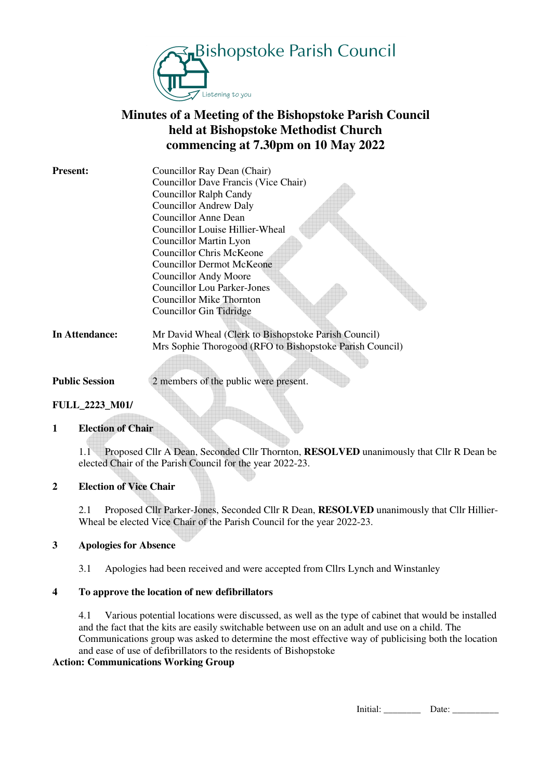

# **Minutes of a Meeting of the Bishopstoke Parish Council held at Bishopstoke Methodist Church commencing at 7.30pm on 10 May 2022**

| <b>Present:</b> | Councillor Ray Dean (Chair)                              |
|-----------------|----------------------------------------------------------|
|                 | Councillor Dave Francis (Vice Chair)                     |
|                 | <b>Councillor Ralph Candy</b>                            |
|                 | <b>Councillor Andrew Daly</b>                            |
|                 | <b>Councillor Anne Dean</b>                              |
|                 | Councillor Louise Hillier-Wheal                          |
|                 | Councillor Martin Lyon                                   |
|                 | Councillor Chris McKeone                                 |
|                 | Councillor Dermot McKeone                                |
|                 | <b>Councillor Andy Moore</b>                             |
|                 | <b>Councillor Lou Parker-Jones</b>                       |
|                 | <b>Councillor Mike Thornton</b>                          |
|                 | Councillor Gin Tidridge                                  |
|                 |                                                          |
| In Attendance:  | Mr David Wheal (Clerk to Bishopstoke Parish Council)     |
|                 | Mrs Sophie Thorogood (RFO to Bishopstoke Parish Council) |

**Public Session** 2 members of the public were present.

## **FULL\_2223\_M01/**

#### **1 Election of Chair**

1.1 Proposed Cllr A Dean, Seconded Cllr Thornton, **RESOLVED** unanimously that Cllr R Dean be elected Chair of the Parish Council for the year 2022-23.

### **2 Election of Vice Chair**

2.1 Proposed Cllr Parker-Jones, Seconded Cllr R Dean, **RESOLVED** unanimously that Cllr Hillier-Wheal be elected Vice Chair of the Parish Council for the year 2022-23.

#### **3 Apologies for Absence**

3.1 Apologies had been received and were accepted from Cllrs Lynch and Winstanley

#### **4 To approve the location of new defibrillators**

4.1 Various potential locations were discussed, as well as the type of cabinet that would be installed and the fact that the kits are easily switchable between use on an adult and use on a child. The Communications group was asked to determine the most effective way of publicising both the location and ease of use of defibrillators to the residents of Bishopstoke

#### **Action: Communications Working Group**

Initial: \_\_\_\_\_\_\_\_ Date: \_\_\_\_\_\_\_\_\_\_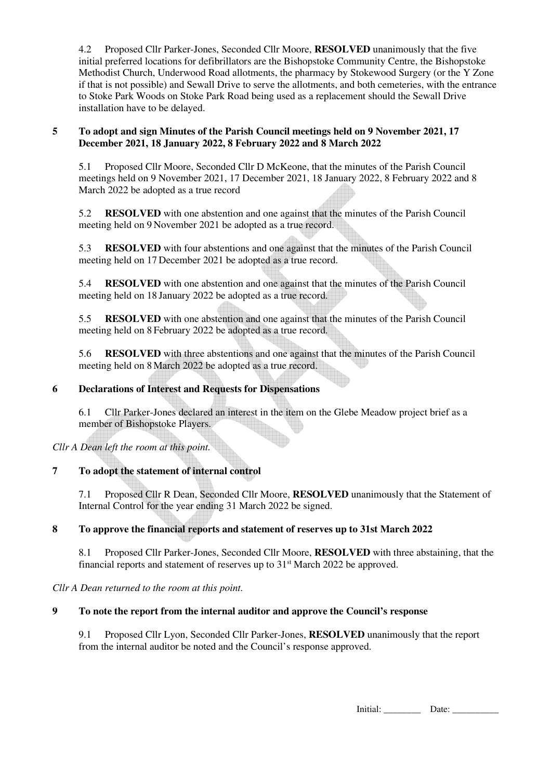4.2 Proposed Cllr Parker-Jones, Seconded Cllr Moore, **RESOLVED** unanimously that the five initial preferred locations for defibrillators are the Bishopstoke Community Centre, the Bishopstoke Methodist Church, Underwood Road allotments, the pharmacy by Stokewood Surgery (or the Y Zone if that is not possible) and Sewall Drive to serve the allotments, and both cemeteries, with the entrance to Stoke Park Woods on Stoke Park Road being used as a replacement should the Sewall Drive installation have to be delayed.

## **5 To adopt and sign Minutes of the Parish Council meetings held on 9 November 2021, 17 December 2021, 18 January 2022, 8 February 2022 and 8 March 2022**

5.1 Proposed Cllr Moore, Seconded Cllr D McKeone, that the minutes of the Parish Council meetings held on 9 November 2021, 17 December 2021, 18 January 2022, 8 February 2022 and 8 March 2022 be adopted as a true record

 5.2 **RESOLVED** with one abstention and one against that the minutes of the Parish Council meeting held on 9 November 2021 be adopted as a true record.

 5.3 **RESOLVED** with four abstentions and one against that the minutes of the Parish Council meeting held on 17 December 2021 be adopted as a true record.

 5.4 **RESOLVED** with one abstention and one against that the minutes of the Parish Council meeting held on 18 January 2022 be adopted as a true record.

 5.5 **RESOLVED** with one abstention and one against that the minutes of the Parish Council meeting held on 8 February 2022 be adopted as a true record.

 5.6 **RESOLVED** with three abstentions and one against that the minutes of the Parish Council meeting held on 8 March 2022 be adopted as a true record.

## **6 Declarations of Interest and Requests for Dispensations**

6.1 Cllr Parker-Jones declared an interest in the item on the Glebe Meadow project brief as a member of Bishopstoke Players.

*Cllr A Dean left the room at this point.* 

## **7 To adopt the statement of internal control**

7.1 Proposed Cllr R Dean, Seconded Cllr Moore, **RESOLVED** unanimously that the Statement of Internal Control for the year ending 31 March 2022 be signed.

## **8 To approve the financial reports and statement of reserves up to 31st March 2022**

8.1 Proposed Cllr Parker-Jones, Seconded Cllr Moore, **RESOLVED** with three abstaining, that the financial reports and statement of reserves up to 31<sup>st</sup> March 2022 be approved.

*Cllr A Dean returned to the room at this point.* 

#### **9 To note the report from the internal auditor and approve the Council's response**

9.1 Proposed Cllr Lyon, Seconded Cllr Parker-Jones, **RESOLVED** unanimously that the report from the internal auditor be noted and the Council's response approved.

Initial: \_\_\_\_\_\_\_\_ Date: \_\_\_\_\_\_\_\_\_\_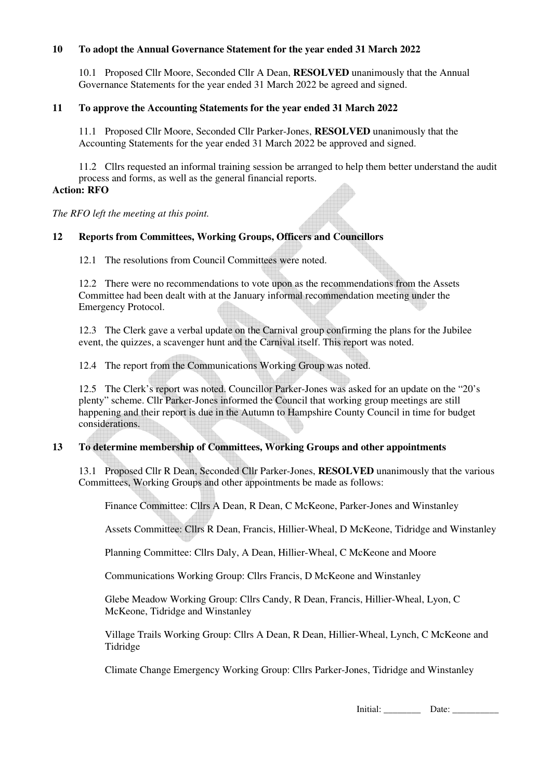#### **10 To adopt the Annual Governance Statement for the year ended 31 March 2022**

10.1 Proposed Cllr Moore, Seconded Cllr A Dean, **RESOLVED** unanimously that the Annual Governance Statements for the year ended 31 March 2022 be agreed and signed.

## **11 To approve the Accounting Statements for the year ended 31 March 2022**

11.1 Proposed Cllr Moore, Seconded Cllr Parker-Jones, **RESOLVED** unanimously that the Accounting Statements for the year ended 31 March 2022 be approved and signed.

 11.2 Cllrs requested an informal training session be arranged to help them better understand the audit process and forms, as well as the general financial reports.

#### **Action: RFO**

*The RFO left the meeting at this point.* 

#### **12 Reports from Committees, Working Groups, Officers and Councillors**

12.1 The resolutions from Council Committees were noted.

 12.2 There were no recommendations to vote upon as the recommendations from the Assets Committee had been dealt with at the January informal recommendation meeting under the Emergency Protocol.

 12.3 The Clerk gave a verbal update on the Carnival group confirming the plans for the Jubilee event, the quizzes, a scavenger hunt and the Carnival itself. This report was noted.

12.4 The report from the Communications Working Group was noted.

 12.5 The Clerk's report was noted. Councillor Parker-Jones was asked for an update on the "20's plenty" scheme. Cllr Parker-Jones informed the Council that working group meetings are still happening and their report is due in the Autumn to Hampshire County Council in time for budget considerations.

## **13 To determine membership of Committees, Working Groups and other appointments**

13.1 Proposed Cllr R Dean, Seconded Cllr Parker-Jones, **RESOLVED** unanimously that the various Committees, Working Groups and other appointments be made as follows:

Finance Committee: Cllrs A Dean, R Dean, C McKeone, Parker-Jones and Winstanley

Assets Committee: Cllrs R Dean, Francis, Hillier-Wheal, D McKeone, Tidridge and Winstanley

Planning Committee: Cllrs Daly, A Dean, Hillier-Wheal, C McKeone and Moore

Communications Working Group: Cllrs Francis, D McKeone and Winstanley

 Glebe Meadow Working Group: Cllrs Candy, R Dean, Francis, Hillier-Wheal, Lyon, C McKeone, Tidridge and Winstanley

 Village Trails Working Group: Cllrs A Dean, R Dean, Hillier-Wheal, Lynch, C McKeone and Tidridge

Climate Change Emergency Working Group: Cllrs Parker-Jones, Tidridge and Winstanley

Initial: \_\_\_\_\_\_\_\_ Date: \_\_\_\_\_\_\_\_\_\_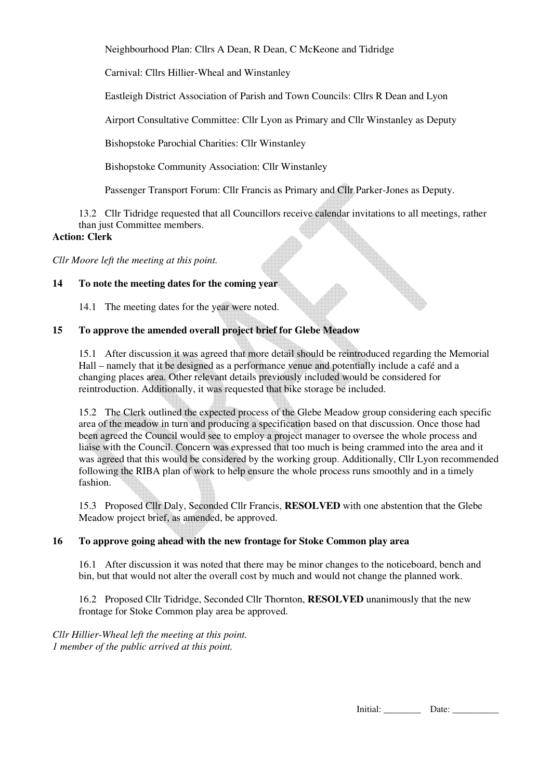Neighbourhood Plan: Cllrs A Dean, R Dean, C McKeone and Tidridge

Carnival: Cllrs Hillier-Wheal and Winstanley

Eastleigh District Association of Parish and Town Councils: Cllrs R Dean and Lyon

Airport Consultative Committee: Cllr Lyon as Primary and Cllr Winstanley as Deputy

Bishopstoke Parochial Charities: Cllr Winstanley

Bishopstoke Community Association: Cllr Winstanley

Passenger Transport Forum: Cllr Francis as Primary and Cllr Parker-Jones as Deputy.

 13.2 Cllr Tidridge requested that all Councillors receive calendar invitations to all meetings, rather than just Committee members.

#### **Action: Clerk**

*Cllr Moore left the meeting at this point.* 

#### **14 To note the meeting dates for the coming year**

14.1 The meeting dates for the year were noted.

#### **15 To approve the amended overall project brief for Glebe Meadow**

15.1 After discussion it was agreed that more detail should be reintroduced regarding the Memorial Hall – namely that it be designed as a performance venue and potentially include a café and a changing places area. Other relevant details previously included would be considered for reintroduction. Additionally, it was requested that bike storage be included.

 15.2 The Clerk outlined the expected process of the Glebe Meadow group considering each specific area of the meadow in turn and producing a specification based on that discussion. Once those had been agreed the Council would see to employ a project manager to oversee the whole process and liaise with the Council. Concern was expressed that too much is being crammed into the area and it was agreed that this would be considered by the working group. Additionally, Cllr Lyon recommended following the RIBA plan of work to help ensure the whole process runs smoothly and in a timely fashion.

 15.3 Proposed Cllr Daly, Seconded Cllr Francis, **RESOLVED** with one abstention that the Glebe Meadow project brief, as amended, be approved.

## **16 To approve going ahead with the new frontage for Stoke Common play area**

16.1 After discussion it was noted that there may be minor changes to the noticeboard, bench and bin, but that would not alter the overall cost by much and would not change the planned work.

 16.2 Proposed Cllr Tidridge, Seconded Cllr Thornton, **RESOLVED** unanimously that the new frontage for Stoke Common play area be approved.

*Cllr Hillier-Wheal left the meeting at this point. 1 member of the public arrived at this point.* 

Initial: \_\_\_\_\_\_\_\_ Date: \_\_\_\_\_\_\_\_\_\_